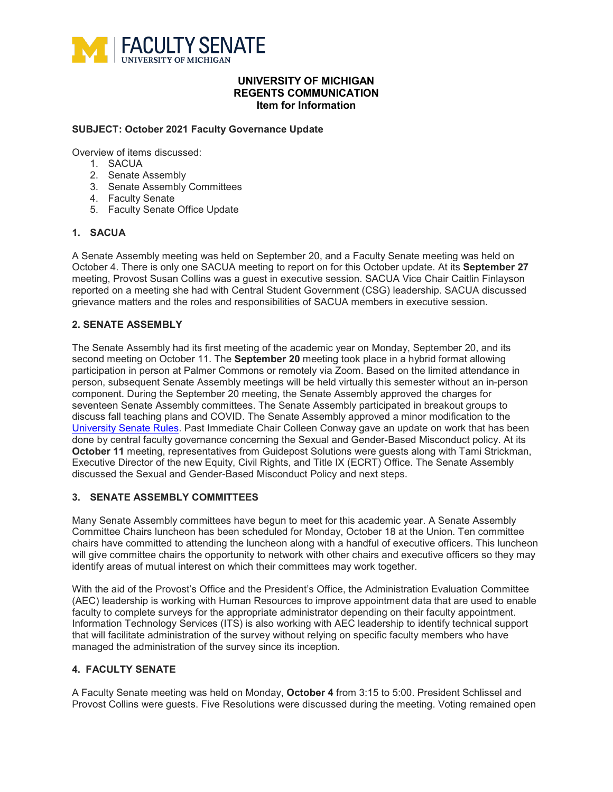

## **UNIVERSITY OF MICHIGAN REGENTS COMMUNICATION Item for Information**

#### **SUBJECT: October 2021 Faculty Governance Update**

Overview of items discussed:

- 1. SACUA
- 2. Senate Assembly
- 3. Senate Assembly Committees
- 4. Faculty Senate
- 5. Faculty Senate Office Update

## **1. SACUA**

A Senate Assembly meeting was held on September 20, and a Faculty Senate meeting was held on October 4. There is only one SACUA meeting to report on for this October update. At its **September 27**  meeting, Provost Susan Collins was a guest in executive session. SACUA Vice Chair Caitlin Finlayson reported on a meeting she had with Central Student Government (CSG) leadership. SACUA discussed grievance matters and the roles and responsibilities of SACUA members in executive session.

## **2. SENATE ASSEMBLY**

The Senate Assembly had its first meeting of the academic year on Monday, September 20, and its second meeting on October 11. The **September 20** meeting took place in a hybrid format allowing participation in person at Palmer Commons or remotely via Zoom. Based on the limited attendance in person, subsequent Senate Assembly meetings will be held virtually this semester without an in-person component. During the September 20 meeting, the Senate Assembly approved the charges for seventeen Senate Assembly committees. The Senate Assembly participated in breakout groups to discuss fall teaching plans and COVID. The Senate Assembly approved a minor modification to the [University Senate Rules.](https://facultysenate.umich.edu/wp-content/uploads/2021/09/Senate-Rules-Rev.-2021.September.pdf) Past Immediate Chair Colleen Conway gave an update on work that has been done by central faculty governance concerning the Sexual and Gender-Based Misconduct policy. At its **October 11** meeting, representatives from Guidepost Solutions were guests along with Tami Strickman, Executive Director of the new Equity, Civil Rights, and Title IX (ECRT) Office. The Senate Assembly discussed the Sexual and Gender-Based Misconduct Policy and next steps.

#### **3. SENATE ASSEMBLY COMMITTEES**

Many Senate Assembly committees have begun to meet for this academic year. A Senate Assembly Committee Chairs luncheon has been scheduled for Monday, October 18 at the Union. Ten committee chairs have committed to attending the luncheon along with a handful of executive officers. This luncheon will give committee chairs the opportunity to network with other chairs and executive officers so they may identify areas of mutual interest on which their committees may work together.

With the aid of the Provost's Office and the President's Office, the Administration Evaluation Committee (AEC) leadership is working with Human Resources to improve appointment data that are used to enable faculty to complete surveys for the appropriate administrator depending on their faculty appointment. Information Technology Services (ITS) is also working with AEC leadership to identify technical support that will facilitate administration of the survey without relying on specific faculty members who have managed the administration of the survey since its inception.

#### **4. FACULTY SENATE**

A Faculty Senate meeting was held on Monday, **October 4** from 3:15 to 5:00. President Schlissel and Provost Collins were guests. Five Resolutions were discussed during the meeting. Voting remained open